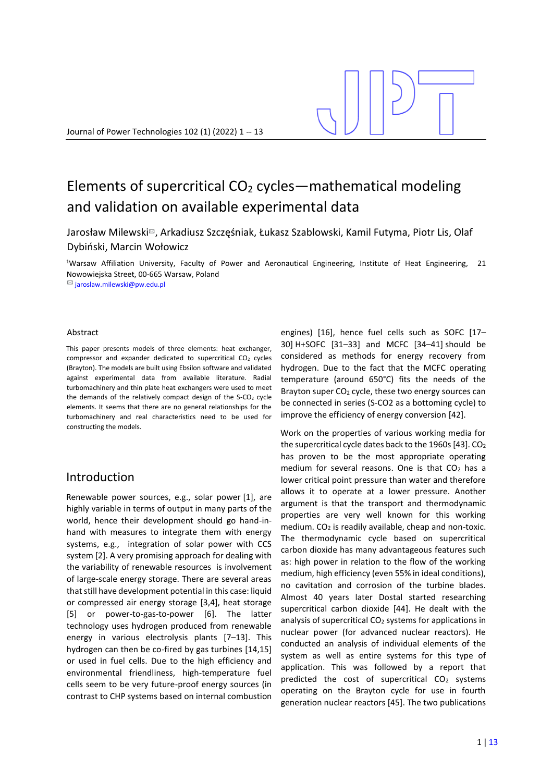# Elements of supercritical  $CO<sub>2</sub>$  cycles—mathematical modeling and validation on available experimental data

Jarosław Milewski✉, Arkadiusz Szczęśniak, Łukasz Szablowski, Kamil Futyma, Piotr Lis, Olaf Dybiński, Marcin Wołowicz

<sup>1</sup>Warsaw Affiliation University, Faculty of Power and Aeronautical Engineering, Institute of Heat Engineering, 21 Nowowiejska Street, 00-665 Warsaw, Poland

✉ jaroslaw.milewski@pw.edu.pl

#### Abstract

This paper presents models of three elements: heat exchanger, compressor and expander dedicated to supercritical  $CO<sub>2</sub>$  cycles (Brayton). The models are built using Ebsilon software and validated against experimental data from available literature. Radial turbomachinery and thin plate heat exchangers were used to meet the demands of the relatively compact design of the  $S-CO<sub>2</sub>$  cycle elements. It seems that there are no general relationships for the turbomachinery and real characteristics need to be used for constructing the models.

# Introduction

Renewable power sources, e.g., solar power [1], are highly variable in terms of output in many parts of the world, hence their development should go hand-inhand with measures to integrate them with energy systems, e.g., integration of solar power with CCS system [2]. A very promising approach for dealing with the variability of renewable resources is involvement of large-scale energy storage. There are several areas that still have development potential in this case: liquid or compressed air energy storage [3,4], heat storage [5] or power-to-gas-to-power [6]. The latter technology uses hydrogen produced from renewable energy in various electrolysis plants [7–13]. This hydrogen can then be co-fired by gas turbines [14,15] or used in fuel cells. Due to the high efficiency and environmental friendliness, high-temperature fuel cells seem to be very future-proof energy sources (in contrast to CHP systems based on internal combustion engines) [16], hence fuel cells such as SOFC [17– 30] H+SOFC [31–33] and MCFC [34–41] should be considered as methods for energy recovery from hydrogen. Due to the fact that the MCFC operating temperature (around 650°C) fits the needs of the Brayton super  $CO<sub>2</sub>$  cycle, these two energy sources can be connected in series (S-CO2 as a bottoming cycle) to improve the efficiency of energy conversion [42].

Work on the properties of various working media for the supercritical cycle dates back to the 1960s  $[43]$ . CO<sub>2</sub> has proven to be the most appropriate operating medium for several reasons. One is that  $CO<sub>2</sub>$  has a lower critical point pressure than water and therefore allows it to operate at a lower pressure. Another argument is that the transport and thermodynamic properties are very well known for this working medium.  $CO<sub>2</sub>$  is readily available, cheap and non-toxic. The thermodynamic cycle based on supercritical carbon dioxide has many advantageous features such as: high power in relation to the flow of the working medium, high efficiency (even 55% in ideal conditions), no cavitation and corrosion of the turbine blades. Almost 40 years later Dostal started researching supercritical carbon dioxide [44]. He dealt with the analysis of supercritical CO<sup>2</sup> systems for applications in nuclear power (for advanced nuclear reactors). He conducted an analysis of individual elements of the system as well as entire systems for this type of application. This was followed by a report that predicted the cost of supercritical  $CO<sub>2</sub>$  systems operating on the Brayton cycle for use in fourth generation nuclear reactors [45]. The two publications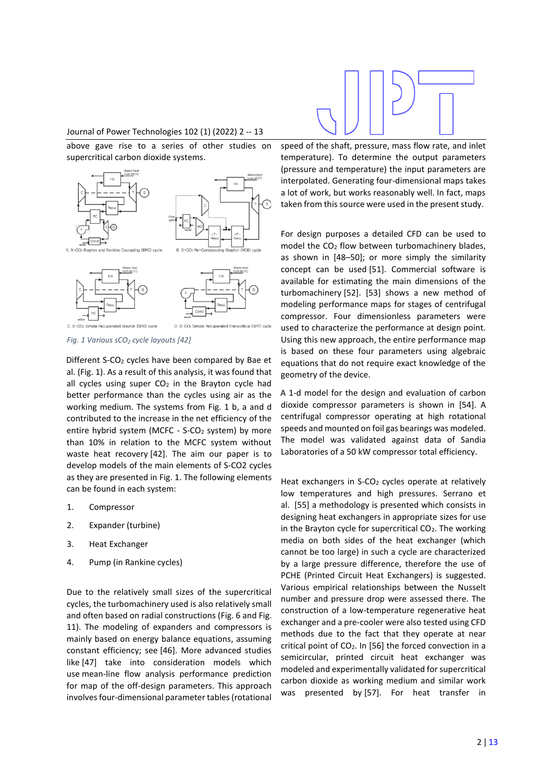

# Journal of Power Technologies 102 (1) (2022) 2 -- 13

above gave rise to a series of other studies on supercritical carbon dioxide systems.



<span id="page-1-0"></span>*Fig. 1 Various sCO<sup>2</sup> cycle layouts [42]*

Different S-CO<sub>2</sub> cycles have been compared by Bae et al. [\(Fig. 1\)](#page-1-0). As a result of this analysis, it was found that all cycles using super  $CO<sub>2</sub>$  in the Brayton cycle had better performance than the cycles using air as the working medium. The systems from [Fig. 1](#page-1-0) b, a and d contributed to the increase in the net efficiency of the entire hybrid system (MCFC - S-CO<sub>2</sub> system) by more than 10% in relation to the MCFC system without waste heat recovery [42]. The aim our paper is to develop models of the main elements of S-CO2 cycles as they are presented in [Fig. 1.](#page-1-0) The following elements can be found in each system:

- 1. Compressor
- 2. Expander (turbine)
- 3. Heat Exchanger
- 4. Pump (in Rankine cycles)

Due to the relatively small sizes of the supercritical cycles, the turbomachinery used is also relatively small and often based on radial constructions [\(Fig. 6](#page-4-0) an[d Fig.](#page-5-0)  [11\)](#page-5-0). The modeling of expanders and compressors is mainly based on energy balance equations, assuming constant efficiency; see [46]. More advanced studies like [47] take into consideration models which use mean-line flow analysis performance prediction for map of the off-design parameters. This approach involves four-dimensional parameter tables (rotational



For design purposes a detailed CFD can be used to model the CO<sup>2</sup> flow between turbomachinery blades, as shown in [48–50]; or more simply the similarity concept can be used [51]. Commercial software is available for estimating the main dimensions of the turbomachinery [52]. [53] shows a new method of modeling performance maps for stages of centrifugal compressor. Four dimensionless parameters were used to characterize the performance at design point. Using this new approach, the entire performance map is based on these four parameters using algebraic equations that do not require exact knowledge of the geometry of the device.

A 1-d model for the design and evaluation of carbon dioxide compressor parameters is shown in [54]. A centrifugal compressor operating at high rotational speeds and mounted on foil gas bearings was modeled. The model was validated against data of Sandia Laboratories of a 50 kW compressor total efficiency.

Heat exchangers in S-CO<sub>2</sub> cycles operate at relatively low temperatures and high pressures. Serrano et al. [55] a methodology is presented which consists in designing heat exchangers in appropriate sizes for use in the Brayton cycle for supercritical  $CO<sub>2</sub>$ . The working media on both sides of the heat exchanger (which cannot be too large) in such a cycle are characterized by a large pressure difference, therefore the use of PCHE (Printed Circuit Heat Exchangers) is suggested. Various empirical relationships between the Nusselt number and pressure drop were assessed there. The construction of a low-temperature regenerative heat exchanger and a pre-cooler were also tested using CFD methods due to the fact that they operate at near critical point of  $CO<sub>2</sub>$ . In [56] the forced convection in a semicircular, printed circuit heat exchanger was modeled and experimentally validated for supercritical carbon dioxide as working medium and similar work was presented by [57]. For heat transfer in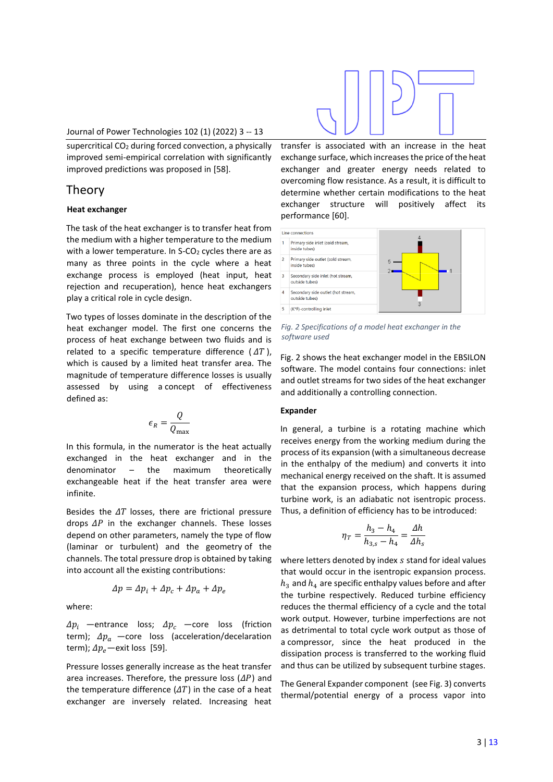#### Journal of Power Technologies 102 (1) (2022) 3 -- 13

supercritical CO<sup>2</sup> during forced convection, a physically improved semi-empirical correlation with significantly improved predictions was proposed in [58].

# Theory

#### **Heat exchanger**

The task of the heat exchanger is to transfer heat from the medium with a higher temperature to the medium with a lower temperature. In S-CO<sub>2</sub> cycles there are as many as three points in the cycle where a heat exchange process is employed (heat input, heat rejection and recuperation), hence heat exchangers play a critical role in cycle design.

Two types of losses dominate in the description of the heat exchanger model. The first one concerns the process of heat exchange between two fluids and is related to a specific temperature difference  $(AT)$ . which is caused by a limited heat transfer area. The magnitude of temperature difference losses is usually assessed by using a concept of effectiveness defined as:

$$
\epsilon_{R}=\frac{Q}{Q_{\max}}
$$

In this formula, in the numerator is the heat actually exchanged in the heat exchanger and in the denominator – the maximum theoretically exchangeable heat if the heat transfer area were infinite.

Besides the  $\Delta T$  losses, there are frictional pressure drops  $\Delta P$  in the exchanger channels. These losses depend on other parameters, namely the type of flow (laminar or turbulent) and the geometry of the channels. The total pressure drop is obtained by taking into account all the existing contributions:

$$
\Delta p = \Delta p_i + \Delta p_c + \Delta p_a + \Delta p_e
$$

where:

 $\Delta p_i$  —entrance loss;  $\Delta p_c$  —core loss (friction term);  $\Delta p_a$  -core loss (acceleration/decelaration term);  $\Delta p_e$  - exit loss [59].

Pressure losses generally increase as the heat transfer area increases. Therefore, the pressure loss  $(\Delta P)$  and the temperature difference  $(\Delta T)$  in the case of a heat exchanger are inversely related. Increasing heat



transfer is associated with an increase in the heat exchange surface, which increases the price of the heat exchanger and greater energy needs related to overcoming flow resistance. As a result, it is difficult to determine whether certain modifications to the heat exchanger structure will positively affect its performance [60].



<span id="page-2-0"></span>*Fig. 2 Specifications of a model heat exchanger in the software used*

[Fig. 2](#page-2-0) shows the heat exchanger model in the EBSILON software. The model contains four connections: inlet and outlet streams for two sides of the heat exchanger and additionally a controlling connection.

#### **Expander**

In general, a turbine is a rotating machine which receives energy from the working medium during the process of its expansion (with a simultaneous decrease in the enthalpy of the medium) and converts it into mechanical energy received on the shaft. It is assumed that the expansion process, which happens during turbine work, is an adiabatic not isentropic process. Thus, a definition of efficiency has to be introduced:

$$
\eta_T = \frac{h_3 - h_4}{h_{3,s} - h_4} = \frac{\Delta h}{\Delta h_s}
$$

where letters denoted by index s stand for ideal values that would occur in the isentropic expansion process.  $h_3$  and  $h_4$  are specific enthalpy values before and after the turbine respectively. Reduced turbine efficiency reduces the thermal efficiency of a cycle and the total work output. However, turbine imperfections are not as detrimental to total cycle work output as those of a compressor, since the heat produced in the dissipation process is transferred to the working fluid and thus can be utilized by subsequent turbine stages.

The General Expander component (se[e Fig. 3\)](#page-3-0) converts thermal/potential energy of a process vapor into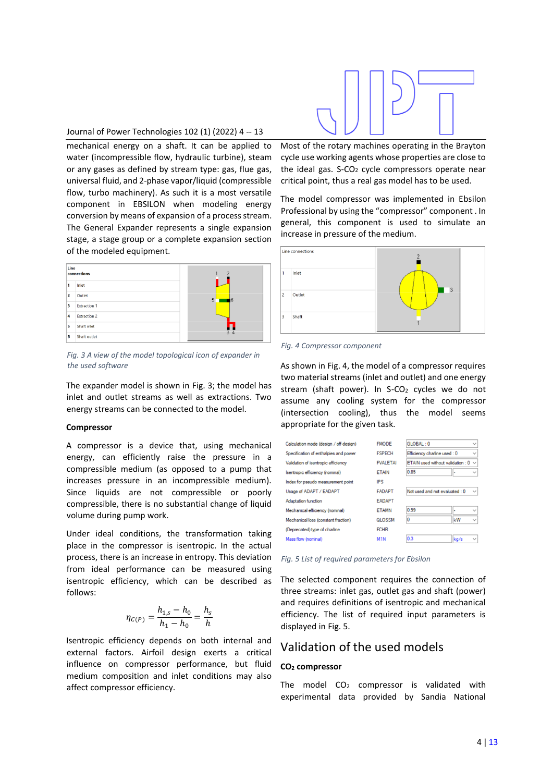

#### Journal of Power Technologies 102 (1) (2022) 4 -- 13

mechanical energy on a shaft. It can be applied to water (incompressible flow, hydraulic turbine), steam or any gases as defined by stream type: gas, flue gas, universal fluid, and 2-phase vapor/liquid (compressible flow, turbo machinery). As such it is a most versatile component in EBSILON when modeling energy conversion by means of expansion of a process stream. The General Expander represents a single expansion stage, a stage group or a complete expansion section of the modeled equipment.



<span id="page-3-0"></span>*Fig. 3 A view of the model topological icon of expander in the used software*

The expander model is shown in [Fig. 3;](#page-3-0) the model has inlet and outlet streams as well as extractions. Two energy streams can be connected to the model.

#### **Compressor**

A compressor is a device that, using mechanical energy, can efficiently raise the pressure in a compressible medium (as opposed to a pump that increases pressure in an incompressible medium). Since liquids are not compressible or poorly compressible, there is no substantial change of liquid volume during pump work.

Under ideal conditions, the transformation taking place in the compressor is isentropic. In the actual process, there is an increase in entropy. This deviation from ideal performance can be measured using isentropic efficiency, which can be described as follows:

$$
\eta_{C(P)} = \frac{h_{1,s} - h_0}{h_1 - h_0} = \frac{h_s}{h}
$$

Isentropic efficiency depends on both internal and external factors. Airfoil design exerts a critical influence on compressor performance, but fluid medium composition and inlet conditions may also affect compressor efficiency.

Most of the rotary machines operating in the Brayton cycle use working agents whose properties are close to the ideal gas.  $S-CO<sub>2</sub>$  cycle compressors operate near critical point, thus a real gas model has to be used.

The model compressor was implemented in Ebsilon Professional by using the "compressor" component . In general, this component is used to simulate an increase in pressure of the medium.



<span id="page-3-1"></span>*Fig. 4 Compressor component*

As shown i[n Fig. 4,](#page-3-1) the model of a compressor requires two material streams (inlet and outlet) and one energy stream (shaft power). In  $S-CO<sub>2</sub>$  cycles we do not assume any cooling system for the compressor (intersection cooling), thus the model seems appropriate for the given task.

| <b>FMODE</b>     | GLOBAL: 0                                | $\checkmark$ |
|------------------|------------------------------------------|--------------|
| <b>FSPECH</b>    | Efficiency charline used : 0             | $\checkmark$ |
| <b>FVALETAI</b>  | ETAIN used without validation : $0 \sim$ |              |
| <b>ETAIN</b>     | 0.85<br>٠                                | $\checkmark$ |
| IPS              |                                          |              |
| <b>FADAPT</b>    | Not used and not evaluated : 0           | $\checkmark$ |
| <b>EADAPT</b>    |                                          |              |
| <b>ETAMN</b>     | 0.99                                     | $\checkmark$ |
| <b>QLOSSM</b>    | 0<br>kW                                  | $\checkmark$ |
| <b>FCHR</b>      |                                          |              |
| M <sub>1</sub> N | 0.3<br>kg/s                              | $\checkmark$ |
|                  |                                          |              |

<span id="page-3-2"></span>*Fig. 5 List of required parameters for Ebsilon*

The selected component requires the connection of three streams: inlet gas, outlet gas and shaft (power) and requires definitions of isentropic and mechanical efficiency. The list of required input parameters is displayed in [Fig. 5.](#page-3-2)

# Validation of the used models

#### **CO<sup>2</sup> compressor**

The model  $CO<sub>2</sub>$  compressor is validated with experimental data provided by Sandia National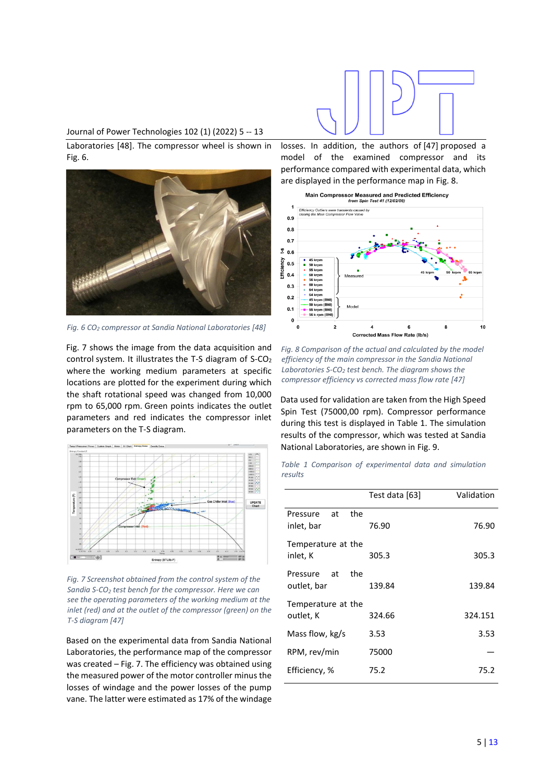#### Journal of Power Technologies 102 (1) (2022) 5 -- 13

Laboratories [48]. The compressor wheel is shown in [Fig. 6.](#page-4-0)



*Fig. 6 CO<sup>2</sup> compressor at Sandia National Laboratories [48]*

<span id="page-4-0"></span>[Fig. 7](#page-4-1) shows the image from the data acquisition and control system. It illustrates the T-S diagram of S-CO<sub>2</sub> where the working medium parameters at specific locations are plotted for the experiment during which the shaft rotational speed was changed from 10,000 rpm to 65,000 rpm. Green points indicates the outlet parameters and red indicates the compressor inlet parameters on the T-S diagram.



<span id="page-4-1"></span>*Fig. 7 Screenshot obtained from the control system of the Sandia S-CO<sup>2</sup> test bench for the compressor. Here we can see the operating parameters of the working medium at the inlet (red) and at the outlet of the compressor (green) on the T-S diagram [47]*

Based on the experimental data from Sandia National Laboratories, the performance map of the compressor was created – [Fig. 7.](#page-4-1) The efficiency was obtained using the measured power of the motor controller minus the losses of windage and the power losses of the pump vane. The latter were estimated as 17% of the windage



losses. In addition, the authors of [47] proposed a model of the examined compressor and its performance compared with experimental data, which are displayed in the performance map i[n Fig. 8.](#page-4-2)



<span id="page-4-2"></span>*Fig. 8 Comparison of the actual and calculated by the model efficiency of the main compressor in the Sandia National Laboratories S-CO<sup>2</sup> test bench. The diagram shows the compressor efficiency vs corrected mass flow rate [47]*

Data used for validation are taken from the High Speed Spin Test (75000,00 rpm). Compressor performance during this test is displayed in [Table 1.](#page-4-3) The simulation results of the compressor, which was tested at Sandia National Laboratories, are shown in [Fig. 9.](#page-5-1)

<span id="page-4-3"></span>*Table 1 Comparison of experimental data and simulation results*

|                                      | Test data [63] | Validation |
|--------------------------------------|----------------|------------|
| the<br>at<br>Pressure<br>inlet, bar  | 76.90          | 76.90      |
| Temperature at the<br>inlet, K       | 305.3          | 305.3      |
| the<br>at<br>Pressure<br>outlet, bar | 139.84         | 139.84     |
| Temperature at the<br>outlet, K      | 324.66         | 324.151    |
| Mass flow, kg/s                      | 3.53           | 3.53       |
| RPM, rev/min                         | 75000          |            |
| Efficiency, %                        | 75.2           | 75.2       |
|                                      |                |            |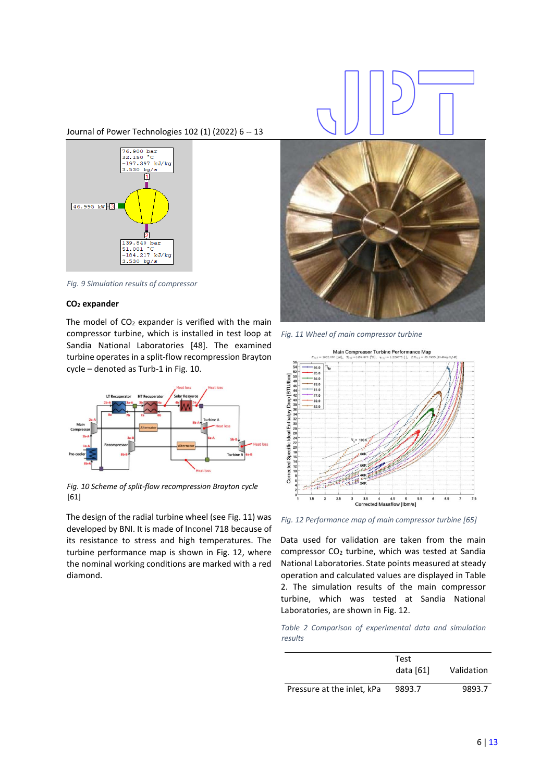Journal of Power Technologies 102 (1) (2022) 6 -- 13



<span id="page-5-1"></span>*Fig. 9 Simulation results of compressor*

#### **CO<sup>2</sup> expander**

The model of  $CO<sub>2</sub>$  expander is verified with the main compressor turbine, which is installed in test loop at Sandia National Laboratories [48]. The examined turbine operates in a split-flow recompression Brayton cycle – denoted as Turb-1 in [Fig. 10.](#page-5-2)



<span id="page-5-2"></span>*Fig. 10 Scheme of split-flow recompression Brayton cycle* [61]

The design of the radial turbine wheel (se[e Fig. 11\)](#page-5-0) was developed by BNI. It is made of Inconel 718 because of its resistance to stress and high temperatures. The turbine performance map is shown in [Fig. 12,](#page-5-3) where the nominal working conditions are marked with a red diamond.





*Fig. 11 Wheel of main compressor turbine*

<span id="page-5-0"></span>

<span id="page-5-3"></span>*Fig. 12 Performance map of main compressor turbine [65]*

Data used for validation are taken from the main compressor CO<sup>2</sup> turbine, which was tested at Sandia National Laboratories. State points measured at steady operation and calculated values are displayed in [Table](#page-5-4)  [2.](#page-5-4) The simulation results of the main compressor turbine, which was tested at Sandia National Laboratories, are shown i[n Fig. 12.](#page-5-3)

<span id="page-5-4"></span>*Table 2 Comparison of experimental data and simulation results*

|                            | Test<br>data $[61]$ | Validation |
|----------------------------|---------------------|------------|
| Pressure at the inlet, kPa | 9893.7              | 9893.7     |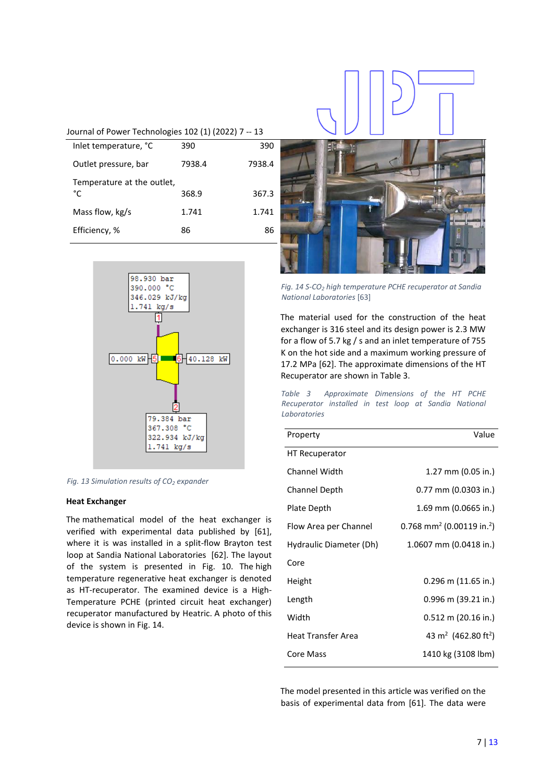### Journal of Power Technologies 102 (1) (2022) 7 -- 13

| Inlet temperature, °C            | 390    | 390    |
|----------------------------------|--------|--------|
| Outlet pressure, bar             | 7938.4 | 7938.4 |
| Temperature at the outlet,<br>°C | 368.9  | 367.3  |
| Mass flow, kg/s                  | 1.741  | 1.741  |
| Efficiency, %                    | 86     | 86     |
|                                  |        |        |



*Fig. 13 Simulation results of CO<sup>2</sup> expander*

#### **Heat Exchanger**

The mathematical model of the heat exchanger is verified with experimental data published by [61], where it is was installed in a split-flow Brayton test loop at Sandia National Laboratories [62]. The layout of the system is presented in [Fig. 10.](#page-5-2) The high temperature regenerative heat exchanger is denoted as HT-recuperator. The examined device is a High-Temperature PCHE (printed circuit heat exchanger) recuperator manufactured by Heatric. A photo of this device is shown i[n Fig. 14.](#page-6-0)



*Fig. 14 S-CO<sup>2</sup> high temperature PCHE recuperator at Sandia National Laboratories* [63]

<span id="page-6-0"></span>The material used for the construction of the heat exchanger is 316 steel and its design power is 2.3 MW for a flow of 5.7 kg / s and an inlet temperature of 755 K on the hot side and a maximum working pressure of 17.2 MPa [62]. The approximate dimensions of the HT Recuperator are shown i[n Table 3.](#page-6-1)

<span id="page-6-1"></span>*Table 3 Approximate Dimensions of the HT PCHE Recuperator installed in test loop at Sandia National Laboratories*

| Property                | Value                                             |
|-------------------------|---------------------------------------------------|
| <b>HT Recuperator</b>   |                                                   |
| Channel Width           | $1.27$ mm (0.05 in.)                              |
| Channel Depth           | 0.77 mm (0.0303 in.)                              |
| Plate Depth             | 1.69 mm (0.0665 in.)                              |
| Flow Area per Channel   | 0.768 mm <sup>2</sup> (0.00119 in. <sup>2</sup> ) |
| Hydraulic Diameter (Dh) | 1.0607 mm (0.0418 in.)                            |
| Core                    |                                                   |
| Height                  | $0.296$ m (11.65 in.)                             |
| Length                  | $0.996$ m (39.21 in.)                             |
| Width                   | $0.512$ m (20.16 in.)                             |
| Heat Transfer Area      | 43 m <sup>2</sup> (462.80 ft <sup>2</sup> )       |
| Core Mass               | 1410 kg (3108 lbm)                                |

The model presented in this article was verified on the basis of experimental data from [61]. The data were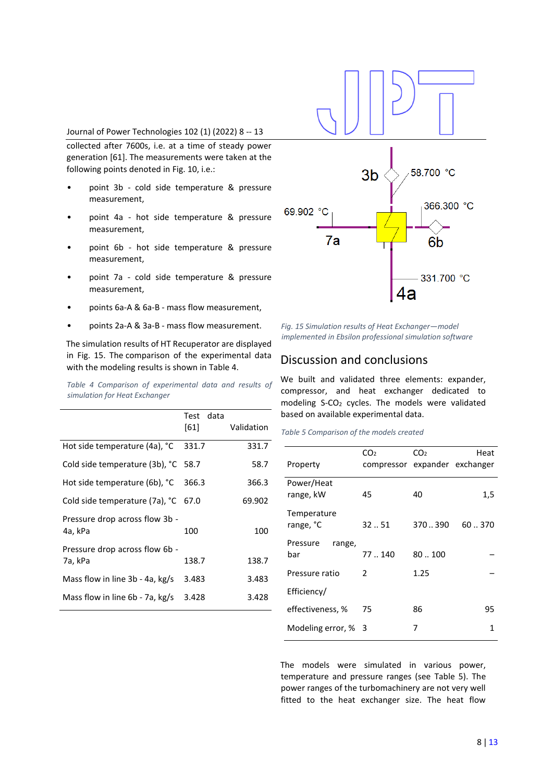#### Journal of Power Technologies 102 (1) (2022) 8 -- 13

collected after 7600s, i.e. at a time of steady power generation [61]. The measurements were taken at the following points denoted i[n Fig. 10,](#page-5-2) i.e.:

- point 3b cold side temperature & pressure measurement,
- point 4a hot side temperature & pressure measurement,
- point 6b hot side temperature & pressure measurement,
- point 7a cold side temperature & pressure measurement,
- points 6a-A & 6a-B mass flow measurement,
- points 2a-A & 3a-B mass flow measurement.

The simulation results of HT Recuperator are displayed in [Fig. 15.](#page-7-0) The comparison of the experimental data with the modeling results is shown in [Table 4.](#page-7-1)

<span id="page-7-1"></span>*Table 4 Comparison of experimental data and results of simulation for Heat Exchanger*

|                                           | data<br>Test<br>[61] | Validation |
|-------------------------------------------|----------------------|------------|
| Hot side temperature (4a), °C             | 331.7                | 331.7      |
| Cold side temperature (3b), °C 58.7       |                      | 58.7       |
| Hot side temperature (6b), °C             | 366.3                | 366.3      |
| Cold side temperature (7a), °C 67.0       |                      | 69.902     |
| Pressure drop across flow 3b -<br>4a, kPa | 100                  | 100        |
| Pressure drop across flow 6b -            |                      |            |
| 7a, kPa                                   | 138.7                | 138.7      |
| Mass flow in line $3b - 4a$ , kg/s        | 3.483                | 3.483      |
| Mass flow in line 6b - 7a, kg/s           | 3.428                | 3.428      |



<span id="page-7-0"></span>*Fig. 15 Simulation results of Heat Exchanger—model implemented in Ebsilon professional simulation software*

# Discussion and conclusions

We built and validated three elements: expander, compressor, and heat exchanger dedicated to modeling S-CO<sup>2</sup> cycles. The models were validated based on available experimental data.

<span id="page-7-2"></span>*Table 5 Comparison of the models created*

|                    | CO <sub>2</sub>               | CO <sub>2</sub> | Heat  |
|--------------------|-------------------------------|-----------------|-------|
| Property           | compressor expander exchanger |                 |       |
| Power/Heat         |                               |                 |       |
| range, kW          | 45                            | 40              | 1,5   |
| Temperature        |                               |                 |       |
| range, °C          | $32-.51$                      | 370.390         | 60370 |
| Pressure<br>range, |                               |                 |       |
| bar                | 77.140                        | 80.100          |       |
| Pressure ratio     | $\mathcal{P}$                 | 1.25            |       |
| Efficiency/        |                               |                 |       |
| effectiveness, %   | 75                            | 86              | 95    |
| Modeling error, %  | - 3                           | 7               | 1     |
|                    |                               |                 |       |

The models were simulated in various power, temperature and pressure ranges (see [Table 5\)](#page-7-2). The power ranges of the turbomachinery are not very well fitted to the heat exchanger size. The heat flow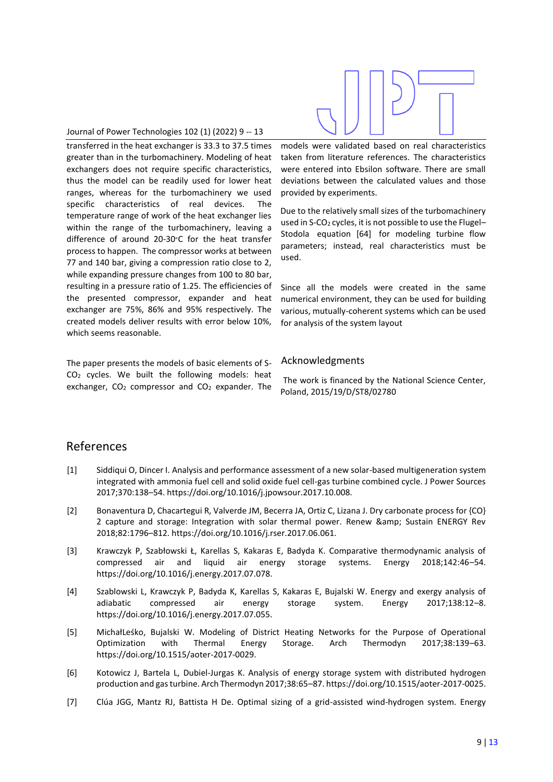#### Journal of Power Technologies 102 (1) (2022) 9 -- 13

transferred in the heat exchanger is 33.3 to 37.5 times greater than in the turbomachinery. Modeling of heat exchangers does not require specific characteristics, thus the model can be readily used for lower heat ranges, whereas for the turbomachinery we used specific characteristics of real devices. The temperature range of work of the heat exchanger lies within the range of the turbomachinery, leaving a difference of around 20-30<sup>∘</sup>C for the heat transfer process to happen. The compressor works at between 77 and 140 bar, giving a compression ratio close to 2, while expanding pressure changes from 100 to 80 bar, resulting in a pressure ratio of 1.25. The efficiencies of the presented compressor, expander and heat exchanger are 75%, 86% and 95% respectively. The created models deliver results with error below 10%, which seems reasonable.

The paper presents the models of basic elements of S-CO<sup>2</sup> cycles. We built the following models: heat exchanger,  $CO<sub>2</sub>$  compressor and  $CO<sub>2</sub>$  expander. The



models were validated based on real characteristics taken from literature references. The characteristics were entered into Ebsilon software. There are small deviations between the calculated values and those provided by experiments.

Due to the relatively small sizes of the turbomachinery used in S-CO<sub>2</sub> cycles, it is not possible to use the Flugel-Stodola equation [64] for modeling turbine flow parameters; instead, real characteristics must be used.

Since all the models were created in the same numerical environment, they can be used for building various, mutually-coherent systems which can be used for analysis of the system layout

# Acknowledgments

The work is financed by the National Science Center, Poland, 2015/19/D/ST8/02780

# References

- [1] Siddiqui O, Dincer I. Analysis and performance assessment of a new solar-based multigeneration system integrated with ammonia fuel cell and solid oxide fuel cell-gas turbine combined cycle. J Power Sources 2017;370:138–54. https://doi.org/10.1016/j.jpowsour.2017.10.008.
- [2] Bonaventura D, Chacartegui R, Valverde JM, Becerra JA, Ortiz C, Lizana J. Dry carbonate process for {CO} 2 capture and storage: Integration with solar thermal power. Renew & amp; Sustain ENERGY Rev 2018;82:1796–812. https://doi.org/10.1016/j.rser.2017.06.061.
- [3] Krawczyk P, Szabłowski Ł, Karellas S, Kakaras E, Badyda K. Comparative thermodynamic analysis of compressed air and liquid air energy storage systems. Energy 2018;142:46–54. https://doi.org/10.1016/j.energy.2017.07.078.
- [4] Szablowski L, Krawczyk P, Badyda K, Karellas S, Kakaras E, Bujalski W. Energy and exergy analysis of adiabatic compressed air energy storage system. Energy 2017;138:12–8. https://doi.org/10.1016/j.energy.2017.07.055.
- [5] MichałLeśko, Bujalski W. Modeling of District Heating Networks for the Purpose of Operational Optimization with Thermal Energy Storage. Arch Thermodyn 2017;38:139–63. https://doi.org/10.1515/aoter-2017-0029.
- [6] Kotowicz J, Bartela L, Dubiel-Jurgas K. Analysis of energy storage system with distributed hydrogen production and gas turbine. Arch Thermodyn 2017;38:65–87. https://doi.org/10.1515/aoter-2017-0025.
- [7] Clúa JGG, Mantz RJ, Battista H De. Optimal sizing of a grid-assisted wind-hydrogen system. Energy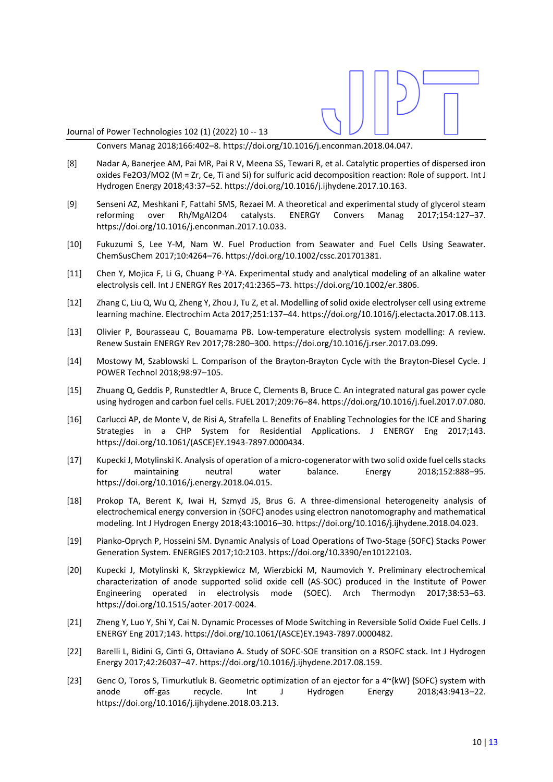Journal of Power Technologies 102 (1) (2022) 10 -- 13

Convers Manag 2018;166:402–8. https://doi.org/10.1016/j.enconman.2018.04.047.

- [8] Nadar A, Banerjee AM, Pai MR, Pai R V, Meena SS, Tewari R, et al. Catalytic properties of dispersed iron oxides Fe2O3/MO2 (M = Zr, Ce, Ti and Si) for sulfuric acid decomposition reaction: Role of support. Int J Hydrogen Energy 2018;43:37–52. https://doi.org/10.1016/j.ijhydene.2017.10.163.
- [9] Senseni AZ, Meshkani F, Fattahi SMS, Rezaei M. A theoretical and experimental study of glycerol steam reforming over Rh/MgAl2O4 catalysts. ENERGY Convers Manag 2017;154:127–37. https://doi.org/10.1016/j.enconman.2017.10.033.
- [10] Fukuzumi S, Lee Y-M, Nam W. Fuel Production from Seawater and Fuel Cells Using Seawater. ChemSusChem 2017;10:4264–76. https://doi.org/10.1002/cssc.201701381.
- [11] Chen Y, Mojica F, Li G, Chuang P-YA. Experimental study and analytical modeling of an alkaline water electrolysis cell. Int J ENERGY Res 2017;41:2365–73. https://doi.org/10.1002/er.3806.
- [12] Zhang C, Liu Q, Wu Q, Zheng Y, Zhou J, Tu Z, et al. Modelling of solid oxide electrolyser cell using extreme learning machine. Electrochim Acta 2017;251:137–44. https://doi.org/10.1016/j.electacta.2017.08.113.
- [13] Olivier P, Bourasseau C, Bouamama PB. Low-temperature electrolysis system modelling: A review. Renew Sustain ENERGY Rev 2017;78:280–300. https://doi.org/10.1016/j.rser.2017.03.099.
- [14] Mostowy M, Szablowski L. Comparison of the Brayton-Brayton Cycle with the Brayton-Diesel Cycle. J POWER Technol 2018;98:97–105.
- [15] Zhuang Q, Geddis P, Runstedtler A, Bruce C, Clements B, Bruce C. An integrated natural gas power cycle using hydrogen and carbon fuel cells. FUEL 2017;209:76–84. https://doi.org/10.1016/j.fuel.2017.07.080.
- [16] Carlucci AP, de Monte V, de Risi A, Strafella L. Benefits of Enabling Technologies for the ICE and Sharing Strategies in a CHP System for Residential Applications. J ENERGY Eng 2017;143. https://doi.org/10.1061/(ASCE)EY.1943-7897.0000434.
- [17] Kupecki J, Motylinski K. Analysis of operation of a micro-cogenerator with two solid oxide fuel cells stacks for maintaining neutral water balance. Energy 2018;152:888–95. https://doi.org/10.1016/j.energy.2018.04.015.
- [18] Prokop TA, Berent K, Iwai H, Szmyd JS, Brus G. A three-dimensional heterogeneity analysis of electrochemical energy conversion in {SOFC} anodes using electron nanotomography and mathematical modeling. Int J Hydrogen Energy 2018;43:10016–30. https://doi.org/10.1016/j.ijhydene.2018.04.023.
- [19] Pianko-Oprych P, Hosseini SM. Dynamic Analysis of Load Operations of Two-Stage {SOFC} Stacks Power Generation System. ENERGIES 2017;10:2103. https://doi.org/10.3390/en10122103.
- [20] Kupecki J, Motylinski K, Skrzypkiewicz M, Wierzbicki M, Naumovich Y. Preliminary electrochemical characterization of anode supported solid oxide cell (AS-SOC) produced in the Institute of Power Engineering operated in electrolysis mode (SOEC). Arch Thermodyn 2017;38:53–63. https://doi.org/10.1515/aoter-2017-0024.
- [21] Zheng Y, Luo Y, Shi Y, Cai N. Dynamic Processes of Mode Switching in Reversible Solid Oxide Fuel Cells. J ENERGY Eng 2017;143. https://doi.org/10.1061/(ASCE)EY.1943-7897.0000482.
- [22] Barelli L, Bidini G, Cinti G, Ottaviano A. Study of SOFC-SOE transition on a RSOFC stack. Int J Hydrogen Energy 2017;42:26037–47. https://doi.org/10.1016/j.ijhydene.2017.08.159.
- [23] Genc O, Toros S, Timurkutluk B. Geometric optimization of an ejector for a 4~{kW} {SOFC} system with anode off-gas recycle. Int J Hydrogen Energy 2018;43:9413–22. https://doi.org/10.1016/j.ijhydene.2018.03.213.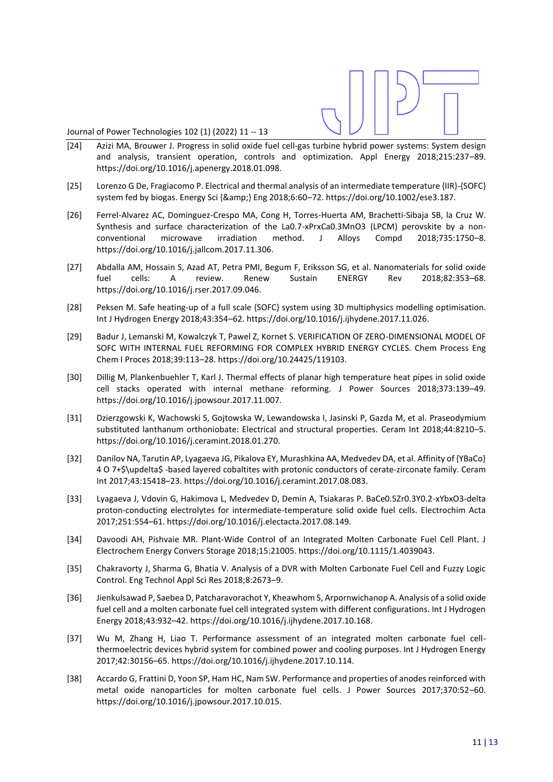Journal of Power Technologies 102 (1) (2022) 11 -- 13

- [24] Azizi MA, Brouwer J. Progress in solid oxide fuel cell-gas turbine hybrid power systems: System design and analysis, transient operation, controls and optimization. Appl Energy 2018;215:237–89. https://doi.org/10.1016/j.apenergy.2018.01.098.
- [25] Lorenzo G De, Fragiacomo P. Electrical and thermal analysis of an intermediate temperature {IIR}-{SOFC} system fed by biogas. Energy Sci {&} Eng 2018;6:60–72. https://doi.org/10.1002/ese3.187.
- [26] Ferrel-Alvarez AC, Dominguez-Crespo MA, Cong H, Torres-Huerta AM, Brachetti-Sibaja SB, la Cruz W. Synthesis and surface characterization of the La0.7-xPrxCa0.3MnO3 (LPCM) perovskite by a nonconventional microwave irradiation method. J Alloys Compd 2018;735:1750–8. https://doi.org/10.1016/j.jallcom.2017.11.306.
- [27] Abdalla AM, Hossain S, Azad AT, Petra PMI, Begum F, Eriksson SG, et al. Nanomaterials for solid oxide fuel cells: A review. Renew Sustain ENERGY Rev 2018;82:353–68. https://doi.org/10.1016/j.rser.2017.09.046.
- [28] Peksen M. Safe heating-up of a full scale {SOFC} system using 3D multiphysics modelling optimisation. Int J Hydrogen Energy 2018;43:354–62. https://doi.org/10.1016/j.ijhydene.2017.11.026.
- [29] Badur J, Lemanski M, Kowalczyk T, Pawel Z, Kornet S. VERIFICATION OF ZERO-DIMENSIONAL MODEL OF SOFC WITH INTERNAL FUEL REFORMING FOR COMPLEX HYBRID ENERGY CYCLES. Chem Process Eng Chem I Proces 2018;39:113–28. https://doi.org/10.24425/119103.
- [30] Dillig M, Plankenbuehler T, Karl J. Thermal effects of planar high temperature heat pipes in solid oxide cell stacks operated with internal methane reforming. J Power Sources 2018;373:139–49. https://doi.org/10.1016/j.jpowsour.2017.11.007.
- [31] Dzierzgowski K, Wachowski S, Gojtowska W, Lewandowska I, Jasinski P, Gazda M, et al. Praseodymium substituted lanthanum orthoniobate: Electrical and structural properties. Ceram Int 2018;44:8210–5. https://doi.org/10.1016/j.ceramint.2018.01.270.
- [32] Danilov NA, Tarutin AP, Lyagaeva JG, Pikalova EY, Murashkina AA, Medvedev DA, et al. Affinity of {YBaCo} 4 O 7+\$\updelta\$ -based layered cobaltites with protonic conductors of cerate-zirconate family. Ceram Int 2017;43:15418–23. https://doi.org/10.1016/j.ceramint.2017.08.083.
- [33] Lyagaeva J, Vdovin G, Hakimova L, Medvedev D, Demin A, Tsiakaras P. BaCe0.5Zr0.3Y0.2-xYbxO3-delta proton-conducting electrolytes for intermediate-temperature solid oxide fuel cells. Electrochim Acta 2017;251:554–61. https://doi.org/10.1016/j.electacta.2017.08.149.
- [34] Davoodi AH, Pishvaie MR. Plant-Wide Control of an Integrated Molten Carbonate Fuel Cell Plant. J Electrochem Energy Convers Storage 2018;15:21005. https://doi.org/10.1115/1.4039043.
- [35] Chakravorty J, Sharma G, Bhatia V. Analysis of a DVR with Molten Carbonate Fuel Cell and Fuzzy Logic Control. Eng Technol Appl Sci Res 2018;8:2673–9.
- [36] Jienkulsawad P, Saebea D, Patcharavorachot Y, Kheawhom S, Arpornwichanop A. Analysis of a solid oxide fuel cell and a molten carbonate fuel cell integrated system with different configurations. Int J Hydrogen Energy 2018;43:932–42. https://doi.org/10.1016/j.ijhydene.2017.10.168.
- [37] Wu M, Zhang H, Liao T. Performance assessment of an integrated molten carbonate fuel cellthermoelectric devices hybrid system for combined power and cooling purposes. Int J Hydrogen Energy 2017;42:30156–65. https://doi.org/10.1016/j.ijhydene.2017.10.114.
- [38] Accardo G, Frattini D, Yoon SP, Ham HC, Nam SW. Performance and properties of anodes reinforced with metal oxide nanoparticles for molten carbonate fuel cells. J Power Sources 2017;370:52–60. https://doi.org/10.1016/j.jpowsour.2017.10.015.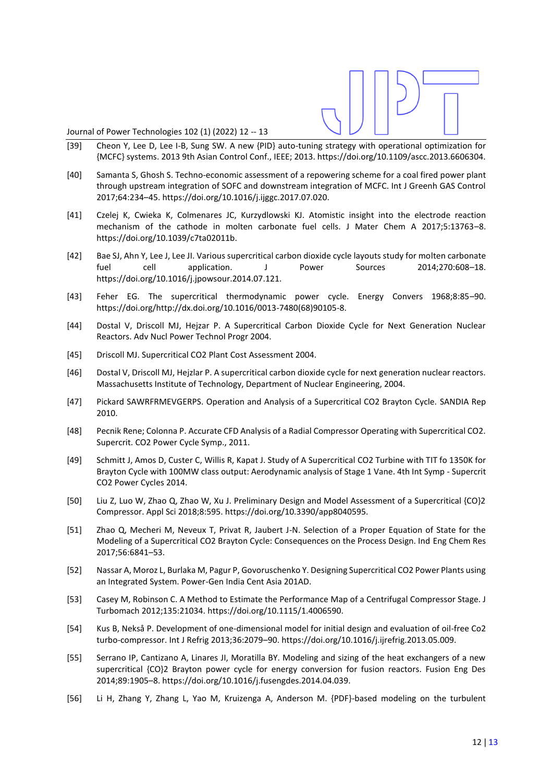Journal of Power Technologies 102 (1) (2022) 12 -- 13

- [39] Cheon Y, Lee D, Lee I-B, Sung SW. A new {PID} auto-tuning strategy with operational optimization for {MCFC} systems. 2013 9th Asian Control Conf., IEEE; 2013. https://doi.org/10.1109/ascc.2013.6606304.
- [40] Samanta S, Ghosh S. Techno-economic assessment of a repowering scheme for a coal fired power plant through upstream integration of SOFC and downstream integration of MCFC. Int J Greenh GAS Control 2017;64:234–45. https://doi.org/10.1016/j.ijggc.2017.07.020.
- [41] Czelej K, Cwieka K, Colmenares JC, Kurzydlowski KJ. Atomistic insight into the electrode reaction mechanism of the cathode in molten carbonate fuel cells. J Mater Chem A 2017;5:13763–8. https://doi.org/10.1039/c7ta02011b.
- [42] Bae SJ, Ahn Y, Lee J, Lee JI. Various supercritical carbon dioxide cycle layouts study for molten carbonate fuel cell application. J Power Sources 2014;270:608–18. https://doi.org/10.1016/j.jpowsour.2014.07.121.
- [43] Feher EG. The supercritical thermodynamic power cycle. Energy Convers 1968;8:85–90. https://doi.org/http://dx.doi.org/10.1016/0013-7480(68)90105-8.
- [44] Dostal V, Driscoll MJ, Hejzar P. A Supercritical Carbon Dioxide Cycle for Next Generation Nuclear Reactors. Adv Nucl Power Technol Progr 2004.
- [45] Driscoll MJ. Supercritical CO2 Plant Cost Assessment 2004.
- [46] Dostal V, Driscoll MJ, Hejzlar P. A supercritical carbon dioxide cycle for next generation nuclear reactors. Massachusetts Institute of Technology, Department of Nuclear Engineering, 2004.
- [47] Pickard SAWRFRMEVGERPS. Operation and Analysis of a Supercritical CO2 Brayton Cycle. SANDIA Rep 2010.
- [48] Pecnik Rene; Colonna P. Accurate CFD Analysis of a Radial Compressor Operating with Supercritical CO2. Supercrit. CO2 Power Cycle Symp., 2011.
- [49] Schmitt J, Amos D, Custer C, Willis R, Kapat J. Study of A Supercritical CO2 Turbine with TIT fo 1350K for Brayton Cycle with 100MW class output: Aerodynamic analysis of Stage 1 Vane. 4th Int Symp - Supercrit CO2 Power Cycles 2014.
- [50] Liu Z, Luo W, Zhao Q, Zhao W, Xu J. Preliminary Design and Model Assessment of a Supercritical {CO}2 Compressor. Appl Sci 2018;8:595. https://doi.org/10.3390/app8040595.
- [51] Zhao Q, Mecheri M, Neveux T, Privat R, Jaubert J-N. Selection of a Proper Equation of State for the Modeling of a Supercritical CO2 Brayton Cycle: Consequences on the Process Design. Ind Eng Chem Res 2017;56:6841–53.
- [52] Nassar A, Moroz L, Burlaka M, Pagur P, Govoruschenko Y. Designing Supercritical CO2 Power Plants using an Integrated System. Power-Gen India Cent Asia 201AD.
- [53] Casey M, Robinson C. A Method to Estimate the Performance Map of a Centrifugal Compressor Stage. J Turbomach 2012;135:21034. https://doi.org/10.1115/1.4006590.
- [54] Kus B, Nekså P. Development of one-dimensional model for initial design and evaluation of oil-free Co2 turbo-compressor. Int J Refrig 2013;36:2079–90. https://doi.org/10.1016/j.ijrefrig.2013.05.009.
- [55] Serrano IP, Cantizano A, Linares JI, Moratilla BY. Modeling and sizing of the heat exchangers of a new supercritical {CO}2 Brayton power cycle for energy conversion for fusion reactors. Fusion Eng Des 2014;89:1905–8. https://doi.org/10.1016/j.fusengdes.2014.04.039.
- [56] Li H, Zhang Y, Zhang L, Yao M, Kruizenga A, Anderson M. {PDF}-based modeling on the turbulent